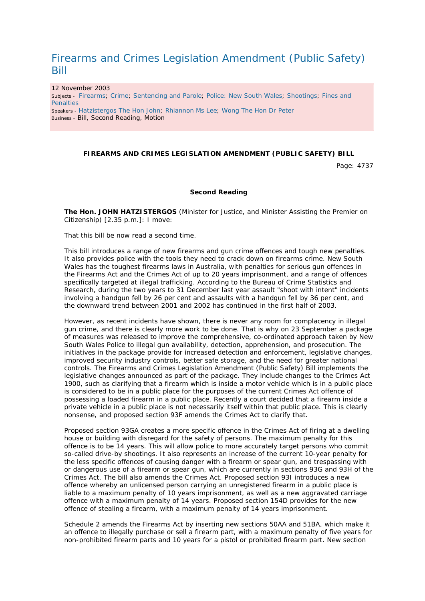## Firearms and Crimes Legislation Amendment (Public Safety) Bill

12 November 2003 Subjects - Firearms; Crime; Sentencing and Parole; Police: New South Wales; Shootings; Fines and **Penalties** Speakers - Hatzistergos The Hon John; Rhiannon Ms Lee; Wong The Hon Dr Peter Business - Bill, Second Reading, Motion

## **FIREARMS AND CRIMES LEGISLATION AMENDMENT (PUBLIC SAFETY) BILL**

Page: 4737

## **Second Reading**

**The Hon. JOHN HATZISTERGOS** (Minister for Justice, and Minister Assisting the Premier on Citizenship) [2.35 p.m.]: I move:

That this bill be now read a second time.

This bill introduces a range of new firearms and gun crime offences and tough new penalties. It also provides police with the tools they need to crack down on firearms crime. New South Wales has the toughest firearms laws in Australia, with penalties for serious gun offences in the Firearms Act and the Crimes Act of up to 20 years imprisonment, and a range of offences specifically targeted at illegal trafficking. According to the Bureau of Crime Statistics and Research, during the two years to 31 December last year assault "shoot with intent" incidents involving a handgun fell by 26 per cent and assaults with a handgun fell by 36 per cent, and the downward trend between 2001 and 2002 has continued in the first half of 2003.

However, as recent incidents have shown, there is never any room for complacency in illegal gun crime, and there is clearly more work to be done. That is why on 23 September a package of measures was released to improve the comprehensive, co-ordinated approach taken by New South Wales Police to illegal gun availability, detection, apprehension, and prosecution. The initiatives in the package provide for increased detection and enforcement, legislative changes, improved security industry controls, better safe storage, and the need for greater national controls. The Firearms and Crimes Legislation Amendment (Public Safety) Bill implements the legislative changes announced as part of the package. They include changes to the Crimes Act 1900, such as clarifying that a firearm which is inside a motor vehicle which is in a public place is considered to be in a public place for the purposes of the current Crimes Act offence of possessing a loaded firearm in a public place. Recently a court decided that a firearm inside a private vehicle in a public place is not necessarily itself within that public place. This is clearly nonsense, and proposed section 93F amends the Crimes Act to clarify that.

Proposed section 93GA creates a more specific offence in the Crimes Act of firing at a dwelling house or building with disregard for the safety of persons. The maximum penalty for this offence is to be 14 years. This will allow police to more accurately target persons who commit so-called drive-by shootings. It also represents an increase of the current 10-year penalty for the less specific offences of causing danger with a firearm or spear gun, and trespassing with or dangerous use of a firearm or spear gun, which are currently in sections 93G and 93H of the Crimes Act. The bill also amends the Crimes Act. Proposed section 93I introduces a new offence whereby an unlicensed person carrying an unregistered firearm in a public place is liable to a maximum penalty of 10 years imprisonment, as well as a new aggravated carriage offence with a maximum penalty of 14 years. Proposed section 154D provides for the new offence of stealing a firearm, with a maximum penalty of 14 years imprisonment.

Schedule 2 amends the Firearms Act by inserting new sections 50AA and 51BA, which make it an offence to illegally purchase or sell a firearm part, with a maximum penalty of five years for non-prohibited firearm parts and 10 years for a pistol or prohibited firearm part. New section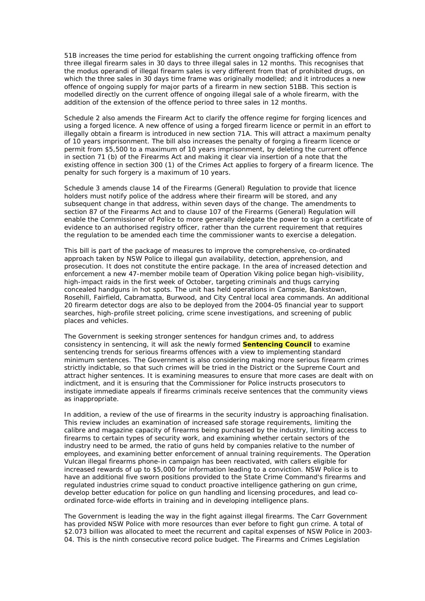51B increases the time period for establishing the current ongoing trafficking offence from three illegal firearm sales in 30 days to three illegal sales in 12 months. This recognises that the modus operandi of illegal firearm sales is very different from that of prohibited drugs, on which the three sales in 30 days time frame was originally modelled; and it introduces a new offence of ongoing supply for major parts of a firearm in new section 51BB. This section is modelled directly on the current offence of ongoing illegal sale of a whole firearm, with the addition of the extension of the offence period to three sales in 12 months.

Schedule 2 also amends the Firearm Act to clarify the offence regime for forging licences and using a forged licence. A new offence of using a forged firearm licence or permit in an effort to illegally obtain a firearm is introduced in new section 71A. This will attract a maximum penalty of 10 years imprisonment. The bill also increases the penalty of forging a firearm licence or permit from \$5,500 to a maximum of 10 years imprisonment, by deleting the current offence in section 71 (b) of the Firearms Act and making it clear via insertion of a note that the existing offence in section 300 (1) of the Crimes Act applies to forgery of a firearm licence. The penalty for such forgery is a maximum of 10 years.

Schedule 3 amends clause 14 of the Firearms (General) Regulation to provide that licence holders must notify police of the address where their firearm will be stored, and any subsequent change in that address, within seven days of the change. The amendments to section 87 of the Firearms Act and to clause 107 of the Firearms (General) Regulation will enable the Commissioner of Police to more generally delegate the power to sign a certificate of evidence to an authorised registry officer, rather than the current requirement that requires the regulation to be amended each time the commissioner wants to exercise a delegation.

This bill is part of the package of measures to improve the comprehensive, co-ordinated approach taken by NSW Police to illegal gun availability, detection, apprehension, and prosecution. It does not constitute the entire package. In the area of increased detection and enforcement a new 47-member mobile team of Operation Viking police began high-visibility, high-impact raids in the first week of October, targeting criminals and thugs carrying concealed handguns in hot spots. The unit has held operations in Campsie, Bankstown, Rosehill, Fairfield, Cabramatta, Burwood, and City Central local area commands. An additional 20 firearm detector dogs are also to be deployed from the 2004-05 financial year to support searches, high-profile street policing, crime scene investigations, and screening of public places and vehicles.

The Government is seeking stronger sentences for handgun crimes and, to address consistency in sentencing, it will ask the newly formed **Sentencing Council** to examine sentencing trends for serious firearms offences with a view to implementing standard minimum sentences. The Government is also considering making more serious firearm crimes strictly indictable, so that such crimes will be tried in the District or the Supreme Court and attract higher sentences. It is examining measures to ensure that more cases are dealt with on indictment, and it is ensuring that the Commissioner for Police instructs prosecutors to instigate immediate appeals if firearms criminals receive sentences that the community views as inappropriate.

In addition, a review of the use of firearms in the security industry is approaching finalisation. This review includes an examination of increased safe storage requirements, limiting the calibre and magazine capacity of firearms being purchased by the industry, limiting access to firearms to certain types of security work, and examining whether certain sectors of the industry need to be armed, the ratio of guns held by companies relative to the number of employees, and examining better enforcement of annual training requirements. The Operation Vulcan illegal firearms phone-in campaign has been reactivated, with callers eligible for increased rewards of up to \$5,000 for information leading to a conviction. NSW Police is to have an additional five sworn positions provided to the State Crime Command's firearms and regulated industries crime squad to conduct proactive intelligence gathering on gun crime, develop better education for police on gun handling and licensing procedures, and lead coordinated force-wide efforts in training and in developing intelligence plans.

The Government is leading the way in the fight against illegal firearms. The Carr Government has provided NSW Police with more resources than ever before to fight gun crime. A total of \$2.073 billion was allocated to meet the recurrent and capital expenses of NSW Police in 2003- 04. This is the ninth consecutive record police budget. The Firearms and Crimes Legislation